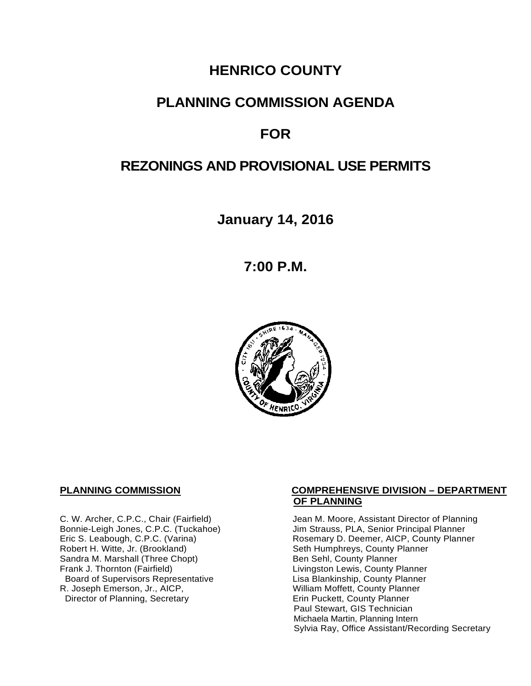# **HENRICO COUNTY**

# **PLANNING COMMISSION AGENDA**

# **FOR**

# **REZONINGS AND PROVISIONAL USE PERMITS**

**January 14, 2016**

**7:00 P.M.**



Sandra M. Marshall (Three Chopt)<br>Frank J. Thornton (Fairfield) Board of Supervisors Representative Fig. 2016 Lisa Blankinship, County Planner<br>Lisa Blankinship, County Planner (2008). Lisa Blankinship, County Planner (2009). R. Joseph Emerson, Jr., AICP, <br>
Director of Planning, Secretary 
William Moffett, County Planner Director of Planning, Secretary

#### **PLANNING COMMISSION COMPREHENSIVE DIVISION – DEPARTMENT OF PLANNING**

C. W. Archer, C.P.C., Chair (Fairfield) Jean M. Moore, Assistant Director of Planning<br>Bonnie-Leigh Jones, C.P.C. (Tuckahoe) Jim Strauss, PLA, Senior Principal Planner Bonnie-Leigh Jones, C.P.C. (Tuckahoe) Jim Strauss, PLA, Senior Principal Planner<br>Eric S. Leabough, C.P.C. (Varina) Rosemary D. Deemer, AICP, County Planne Eric S. Leabough, C.P.C. (Varina) The Rosemary D. Deemer, AICP, County Planner<br>Robert H. Witte, Jr. (Brookland) The Seth Humphreys, County Planner Seth Humphreys, County Planner<br>Ben Sehl, County Planner Livingston Lewis, County Planner Paul Stewart, GIS Technician Michaela Martin, Planning Intern Sylvia Ray, Office Assistant/Recording Secretary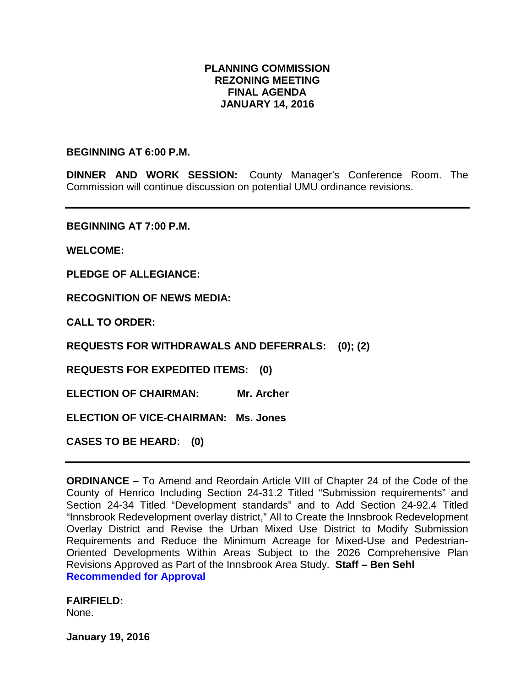# **PLANNING COMMISSION REZONING MEETING FINAL AGENDA JANUARY 14, 2016**

### **BEGINNING AT 6:00 P.M.**

**DINNER AND WORK SESSION:** County Manager's Conference Room. The Commission will continue discussion on potential UMU ordinance revisions.

**BEGINNING AT 7:00 P.M.**

**WELCOME:**

**PLEDGE OF ALLEGIANCE:**

**RECOGNITION OF NEWS MEDIA:**

**CALL TO ORDER:**

**REQUESTS FOR WITHDRAWALS AND DEFERRALS: (0); (2)**

**REQUESTS FOR EXPEDITED ITEMS: (0)**

**ELECTION OF CHAIRMAN: Mr. Archer** 

**ELECTION OF VICE-CHAIRMAN: Ms. Jones**

**CASES TO BE HEARD: (0)**

**ORDINANCE –** To Amend and Reordain Article VIII of Chapter 24 of the Code of the County of Henrico Including Section 24-31.2 Titled "Submission requirements" and Section 24-34 Titled "Development standards" and to Add Section 24-92.4 Titled "Innsbrook Redevelopment overlay district," All to Create the Innsbrook Redevelopment Overlay District and Revise the Urban Mixed Use District to Modify Submission Requirements and Reduce the Minimum Acreage for Mixed-Use and Pedestrian-Oriented Developments Within Areas Subject to the 2026 Comprehensive Plan Revisions Approved as Part of the Innsbrook Area Study. **Staff – Ben Sehl Recommended for Approval**

**FAIRFIELD:**  None.

**January 19, 2016**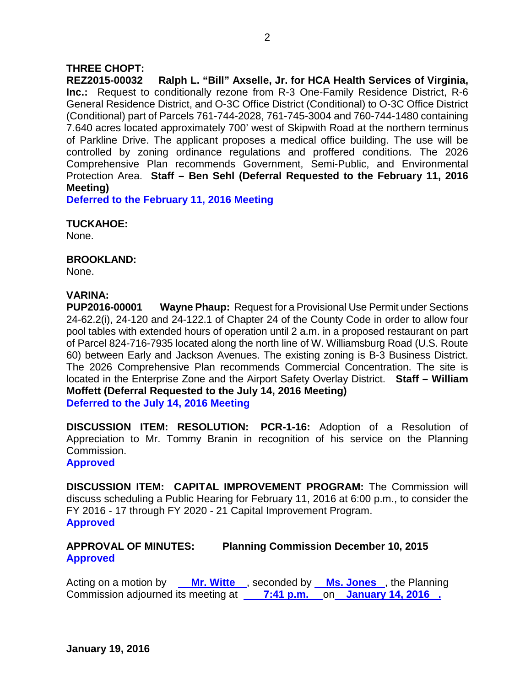# **THREE CHOPT:**

**REZ2015-00032 Ralph L. "Bill" Axselle, Jr. for HCA Health Services of Virginia, Inc.:** Request to conditionally rezone from R-3 One-Family Residence District, R-6 General Residence District, and O-3C Office District (Conditional) to O-3C Office District (Conditional) part of Parcels 761-744-2028, 761-745-3004 and 760-744-1480 containing 7.640 acres located approximately 700' west of Skipwith Road at the northern terminus of Parkline Drive. The applicant proposes a medical office building. The use will be controlled by zoning ordinance regulations and proffered conditions. The 2026 Comprehensive Plan recommends Government, Semi-Public, and Environmental Protection Area. **Staff – Ben Sehl (Deferral Requested to the February 11, 2016 Meeting)**

**Deferred to the February 11, 2016 Meeting**

## **TUCKAHOE:**

None.

## **BROOKLAND:**

None.

## **VARINA:**

**PUP2016-00001 Wayne Phaup:** Request for a Provisional Use Permit under Sections 24-62.2(i), 24-120 and 24-122.1 of Chapter 24 of the County Code in order to allow four pool tables with extended hours of operation until 2 a.m. in a proposed restaurant on part of Parcel 824-716-7935 located along the north line of W. Williamsburg Road (U.S. Route 60) between Early and Jackson Avenues. The existing zoning is B-3 Business District. The 2026 Comprehensive Plan recommends Commercial Concentration. The site is located in the Enterprise Zone and the Airport Safety Overlay District. **Staff – William Moffett (Deferral Requested to the July 14, 2016 Meeting) Deferred to the July 14, 2016 Meeting**

**DISCUSSION ITEM: RESOLUTION: PCR-1-16:** Adoption of a Resolution of Appreciation to Mr. Tommy Branin in recognition of his service on the Planning Commission.

**Approved**

**DISCUSSION ITEM: CAPITAL IMPROVEMENT PROGRAM:** The Commission will discuss scheduling a Public Hearing for February 11, 2016 at 6:00 p.m., to consider the FY 2016 - 17 through FY 2020 - 21 Capital Improvement Program. **Approved**

# **APPROVAL OF MINUTES: Planning Commission December 10, 2015 Approved**

Acting on a motion by **Mr. Witte**, seconded by **Ms. Jones**, the Planning Commission adjourned its meeting at **7:41 p.m.** on **January 14, 2016 .**